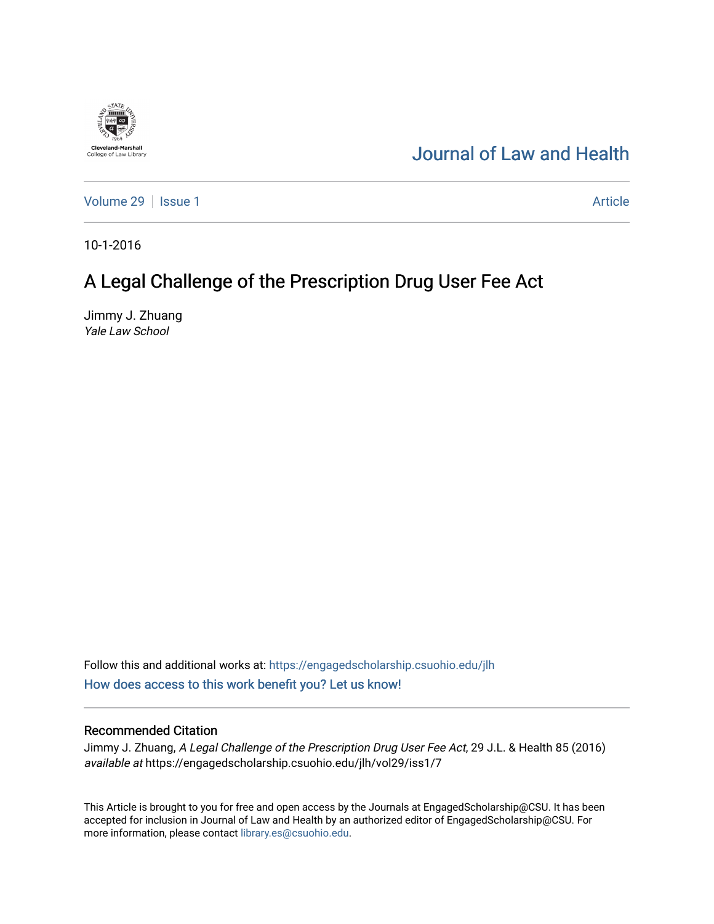## [Journal of Law and Health](https://engagedscholarship.csuohio.edu/jlh)

[Volume 29](https://engagedscholarship.csuohio.edu/jlh/vol29) | [Issue 1](https://engagedscholarship.csuohio.edu/jlh/vol29/iss1) Article

10-1-2016

**Cleveland-Marshall**<br>College of Law Library

# A Legal Challenge of the Prescription Drug User Fee Act

Jimmy J. Zhuang Yale Law School

Follow this and additional works at: [https://engagedscholarship.csuohio.edu/jlh](https://engagedscholarship.csuohio.edu/jlh?utm_source=engagedscholarship.csuohio.edu%2Fjlh%2Fvol29%2Fiss1%2F7&utm_medium=PDF&utm_campaign=PDFCoverPages)  [How does access to this work benefit you? Let us know!](http://library.csuohio.edu/engaged/)

### Recommended Citation

Jimmy J. Zhuang, A Legal Challenge of the Prescription Drug User Fee Act, 29 J.L. & Health 85 (2016) available at https://engagedscholarship.csuohio.edu/jlh/vol29/iss1/7

This Article is brought to you for free and open access by the Journals at EngagedScholarship@CSU. It has been accepted for inclusion in Journal of Law and Health by an authorized editor of EngagedScholarship@CSU. For more information, please contact [library.es@csuohio.edu](mailto:library.es@csuohio.edu).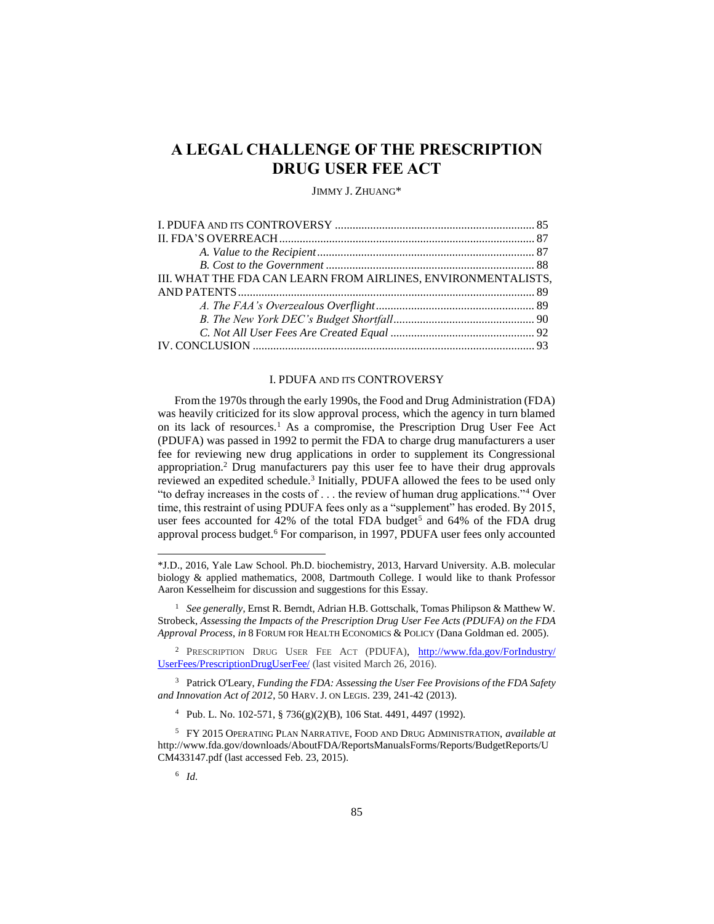### **A LEGAL CHALLENGE OF THE PRESCRIPTION DRUG USER FEE ACT**

#### JIMMY J. ZHUANG\*

| III. WHAT THE FDA CAN LEARN FROM AIRLINES, ENVIRONMENTALISTS, |  |
|---------------------------------------------------------------|--|
|                                                               |  |
|                                                               |  |
|                                                               |  |
|                                                               |  |
|                                                               |  |

#### I. PDUFA AND ITS CONTROVERSY

From the 1970s through the early 1990s, the Food and Drug Administration (FDA) was heavily criticized for its slow approval process, which the agency in turn blamed on its lack of resources.<sup>1</sup> As a compromise, the Prescription Drug User Fee Act (PDUFA) was passed in 1992 to permit the FDA to charge drug manufacturers a user fee for reviewing new drug applications in order to supplement its Congressional appropriation.<sup>2</sup> Drug manufacturers pay this user fee to have their drug approvals reviewed an expedited schedule.<sup>3</sup> Initially, PDUFA allowed the fees to be used only "to defray increases in the costs of . . . the review of human drug applications."<sup>4</sup> Over time, this restraint of using PDUFA fees only as a "supplement" has eroded. By 2015, user fees accounted for  $42\%$  of the total FDA budget<sup>5</sup> and  $64\%$  of the FDA drug approval process budget.<sup>6</sup> For comparison, in 1997, PDUFA user fees only accounted

<sup>1</sup> *See generally*, Ernst R. Berndt, Adrian H.B. Gottschalk, Tomas Philipson & Matthew W. Strobeck, *Assessing the Impacts of the Prescription Drug User Fee Acts (PDUFA) on the FDA Approval Process*, *in* 8 FORUM FOR HEALTH ECONOMICS & POLICY (Dana Goldman ed. 2005).

<sup>2</sup> PRESCRIPTION DRUG USER FEE ACT (PDUFA), [http://www.fda.gov/ForIndustry/](http://www.fda.gov/‌ForIndustry/‌UserFees/PrescriptionDrugUserFee/) [UserFees/PrescriptionDrugUserFee/](http://www.fda.gov/‌ForIndustry/‌UserFees/PrescriptionDrugUserFee/) (last visited March 26, 2016).

<sup>3</sup> Patrick O'Leary, *Funding the FDA: Assessing the User Fee Provisions of the FDA Safety and Innovation Act of 2012*, 50 HARV. J. ON LEGIS. 239, 241-42 (2013).

<sup>4</sup> Pub. L. No. 102-571, § 736(g)(2)(B), 106 Stat. 4491, 4497 (1992).

<sup>5</sup> FY 2015 OPERATING PLAN NARRATIVE, FOOD AND DRUG ADMINISTRATION, *available at* http://www.fda.gov/downloads/AboutFDA/ReportsManualsForms/Reports/BudgetReports/U CM433147.pdf (last accessed Feb. 23, 2015).

6 *Id.* 

<sup>\*</sup>J.D., 2016, Yale Law School. Ph.D. biochemistry, 2013, Harvard University. A.B. molecular biology & applied mathematics, 2008, Dartmouth College. I would like to thank Professor Aaron Kesselheim for discussion and suggestions for this Essay.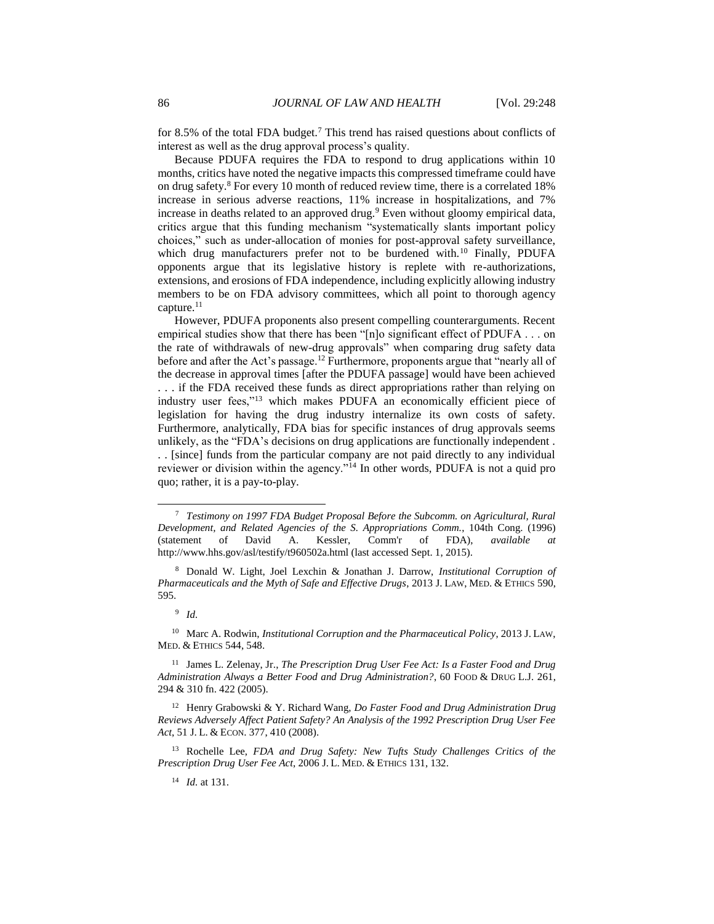for 8.5% of the total FDA budget.<sup>7</sup> This trend has raised questions about conflicts of interest as well as the drug approval process's quality.

Because PDUFA requires the FDA to respond to drug applications within 10 months, critics have noted the negative impacts this compressed timeframe could have on drug safety.<sup>8</sup> For every 10 month of reduced review time, there is a correlated 18% increase in serious adverse reactions, 11% increase in hospitalizations, and 7% increase in deaths related to an approved drug.<sup>9</sup> Even without gloomy empirical data, critics argue that this funding mechanism "systematically slants important policy choices," such as under-allocation of monies for post-approval safety surveillance, which drug manufacturers prefer not to be burdened with.<sup>10</sup> Finally, PDUFA opponents argue that its legislative history is replete with re-authorizations, extensions, and erosions of FDA independence, including explicitly allowing industry members to be on FDA advisory committees, which all point to thorough agency capture.<sup>11</sup>

However, PDUFA proponents also present compelling counterarguments. Recent empirical studies show that there has been "[n]o significant effect of PDUFA . . . on the rate of withdrawals of new-drug approvals" when comparing drug safety data before and after the Act's passage.<sup>12</sup> Furthermore, proponents argue that "nearly all of the decrease in approval times [after the PDUFA passage] would have been achieved . . . if the FDA received these funds as direct appropriations rather than relying on industry user fees,"<sup>13</sup> which makes PDUFA an economically efficient piece of legislation for having the drug industry internalize its own costs of safety. Furthermore, analytically, FDA bias for specific instances of drug approvals seems unlikely, as the "FDA's decisions on drug applications are functionally independent . . . [since] funds from the particular company are not paid directly to any individual reviewer or division within the agency."<sup>14</sup> In other words, PDUFA is not a quid pro quo; rather, it is a pay-to-play.

<sup>7</sup> *Testimony on 1997 FDA Budget Proposal Before the Subcomm. on Agricultural, Rural Development, and Related Agencies of the S. Appropriations Comm.*, 104th Cong. (1996) (statement of David A. Kessler, Comm'r of FDA), *available at* http://www.hhs.gov/asl/testify/t960502a.html (last accessed Sept. 1, 2015).

<sup>8</sup> Donald W. Light, Joel Lexchin & Jonathan J. Darrow, *Institutional Corruption of Pharmaceuticals and the Myth of Safe and Effective Drugs*, 2013 J. LAW, MED. & ETHICS 590, 595.

<sup>9</sup> *Id.* 

<sup>10</sup> Marc A. Rodwin, *Institutional Corruption and the Pharmaceutical Policy*, 2013 J. LAW, MED. & ETHICS 544, 548.

<sup>11</sup> James L. Zelenay, Jr., *The Prescription Drug User Fee Act: Is a Faster Food and Drug Administration Always a Better Food and Drug Administration?*, 60 FOOD & DRUG L.J. 261, 294 & 310 fn. 422 (2005).

<sup>12</sup> Henry Grabowski & Y. Richard Wang, *Do Faster Food and Drug Administration Drug Reviews Adversely Affect Patient Safety? An Analysis of the 1992 Prescription Drug User Fee Act*, 51 J. L. & ECON. 377, 410 (2008).

<sup>13</sup> Rochelle Lee, *FDA and Drug Safety: New Tufts Study Challenges Critics of the Prescription Drug User Fee Act*, 2006 J. L. MED. & ETHICS 131, 132.

<sup>14</sup> *Id.* at 131.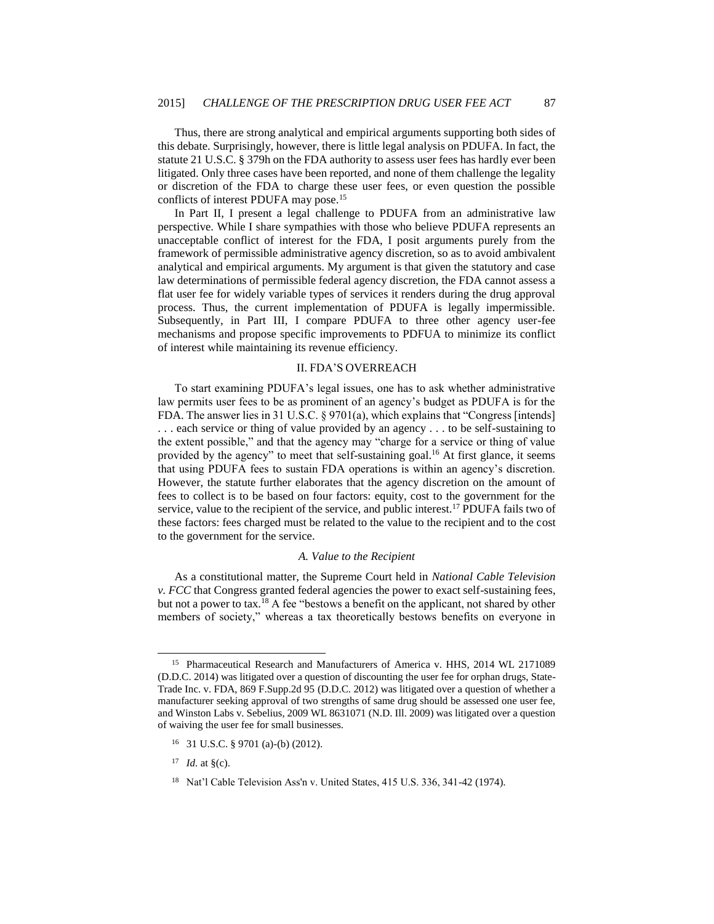Thus, there are strong analytical and empirical arguments supporting both sides of this debate. Surprisingly, however, there is little legal analysis on PDUFA. In fact, the statute 21 U.S.C. § 379h on the FDA authority to assess user fees has hardly ever been litigated. Only three cases have been reported, and none of them challenge the legality or discretion of the FDA to charge these user fees, or even question the possible conflicts of interest PDUFA may pose.<sup>15</sup>

In Part II, I present a legal challenge to PDUFA from an administrative law perspective. While I share sympathies with those who believe PDUFA represents an unacceptable conflict of interest for the FDA, I posit arguments purely from the framework of permissible administrative agency discretion, so as to avoid ambivalent analytical and empirical arguments. My argument is that given the statutory and case law determinations of permissible federal agency discretion, the FDA cannot assess a flat user fee for widely variable types of services it renders during the drug approval process. Thus, the current implementation of PDUFA is legally impermissible. Subsequently, in Part III, I compare PDUFA to three other agency user-fee mechanisms and propose specific improvements to PDFUA to minimize its conflict of interest while maintaining its revenue efficiency.

#### II. FDA'S OVERREACH

To start examining PDUFA's legal issues, one has to ask whether administrative law permits user fees to be as prominent of an agency's budget as PDUFA is for the FDA. The answer lies in 31 U.S.C. § 9701(a), which explains that "Congress [intends] . . . each service or thing of value provided by an agency . . . to be self-sustaining to the extent possible," and that the agency may "charge for a service or thing of value provided by the agency" to meet that self-sustaining goal.<sup>16</sup> At first glance, it seems that using PDUFA fees to sustain FDA operations is within an agency's discretion. However, the statute further elaborates that the agency discretion on the amount of fees to collect is to be based on four factors: equity, cost to the government for the service, value to the recipient of the service, and public interest.<sup>17</sup> PDUFA fails two of these factors: fees charged must be related to the value to the recipient and to the cost to the government for the service.

#### *A. Value to the Recipient*

As a constitutional matter, the Supreme Court held in *National Cable Television v. FCC* that Congress granted federal agencies the power to exact self-sustaining fees, but not a power to tax.<sup>18</sup> A fee "bestows a benefit on the applicant, not shared by other members of society," whereas a tax theoretically bestows benefits on everyone in

<sup>&</sup>lt;sup>15</sup> Pharmaceutical Research and Manufacturers of America v. HHS, 2014 WL 2171089 (D.D.C. 2014) was litigated over a question of discounting the user fee for orphan drugs, State-Trade Inc. v. FDA, 869 F.Supp.2d 95 (D.D.C. 2012) was litigated over a question of whether a manufacturer seeking approval of two strengths of same drug should be assessed one user fee, and Winston Labs v. Sebelius, 2009 WL 8631071 (N.D. Ill. 2009) was litigated over a question of waiving the user fee for small businesses.

<sup>16</sup> 31 U.S.C. § 9701 (a)-(b) (2012).

<sup>&</sup>lt;sup>17</sup> *Id.* at  $\S(c)$ .

<sup>18</sup> Nat'l Cable Television Ass'n v. United States, 415 U.S. 336, 341-42 (1974).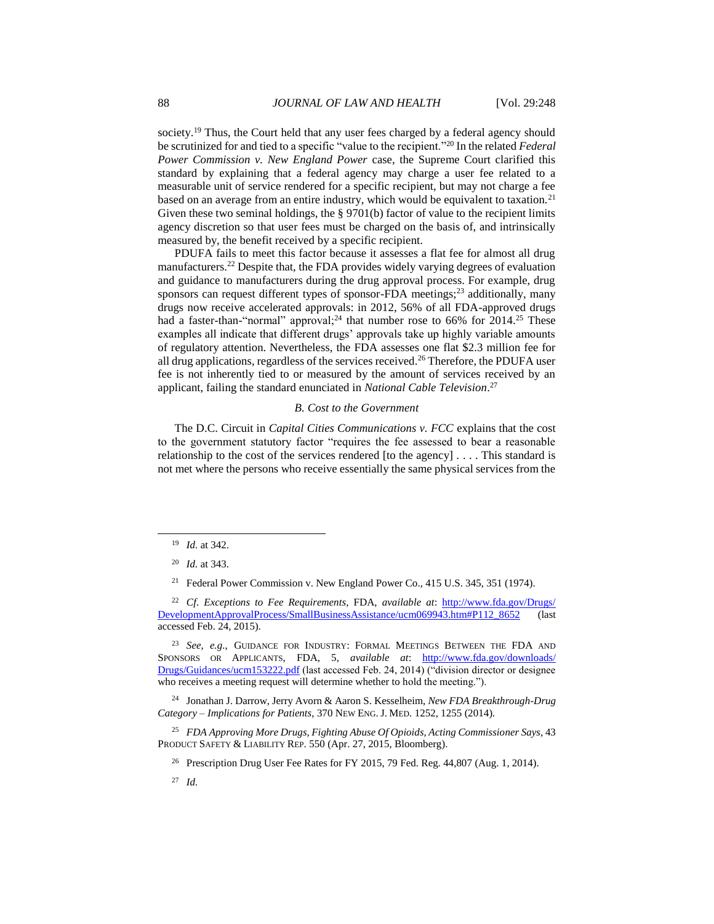society.<sup>19</sup> Thus, the Court held that any user fees charged by a federal agency should be scrutinized for and tied to a specific "value to the recipient."<sup>20</sup> In the related *Federal Power Commission v. New England Power* case, the Supreme Court clarified this standard by explaining that a federal agency may charge a user fee related to a measurable unit of service rendered for a specific recipient, but may not charge a fee based on an average from an entire industry, which would be equivalent to taxation.<sup>21</sup> Given these two seminal holdings, the § 9701(b) factor of value to the recipient limits agency discretion so that user fees must be charged on the basis of, and intrinsically measured by, the benefit received by a specific recipient.

PDUFA fails to meet this factor because it assesses a flat fee for almost all drug manufacturers.<sup>22</sup> Despite that, the FDA provides widely varying degrees of evaluation and guidance to manufacturers during the drug approval process. For example, drug sponsors can request different types of sponsor-FDA meetings;<sup>23</sup> additionally, many drugs now receive accelerated approvals: in 2012, 56% of all FDA-approved drugs had a faster-than-"normal" approval;<sup>24</sup> that number rose to 66% for 2014.<sup>25</sup> These examples all indicate that different drugs' approvals take up highly variable amounts of regulatory attention. Nevertheless, the FDA assesses one flat \$2.3 million fee for all drug applications, regardless of the services received.<sup>26</sup> Therefore, the PDUFA user fee is not inherently tied to or measured by the amount of services received by an applicant, failing the standard enunciated in *National Cable Television*. 27

#### *B. Cost to the Government*

The D.C. Circuit in *Capital Cities Communications v. FCC* explains that the cost to the government statutory factor "requires the fee assessed to bear a reasonable relationship to the cost of the services rendered [to the agency] . . . . This standard is not met where the persons who receive essentially the same physical services from the

l

<sup>23</sup> *See, e.g.*, GUIDANCE FOR INDUSTRY: FORMAL MEETINGS BETWEEN THE FDA AND SPONSORS OR APPLICANTS, FDA, 5, *available at*: [http://www.fda.gov/downloads/](http://www.fda.gov/‌downloads/‌Drugs/Guidances/ucm153222.pdf) [Drugs/Guidances/ucm153222.pdf](http://www.fda.gov/‌downloads/‌Drugs/Guidances/ucm153222.pdf) (last accessed Feb. 24, 2014) ("division director or designee who receives a meeting request will determine whether to hold the meeting.").

<sup>24</sup> Jonathan J. Darrow, Jerry Avorn & Aaron S. Kesselheim, *New FDA Breakthrough-Drug Category – Implications for Patients*, 370 NEW ENG. J. MED. 1252, 1255 (2014).

<sup>25</sup> *FDA Approving More Drugs, Fighting Abuse Of Opioids, Acting Commissioner Says*, 43 PRODUCT SAFETY & LIABILITY REP. 550 (Apr. 27, 2015, Bloomberg).

<sup>26</sup> Prescription Drug User Fee Rates for FY 2015, 79 Fed. Reg. 44,807 (Aug. 1, 2014).

<sup>27</sup> *Id.* 

<sup>19</sup> *Id.* at 342.

<sup>20</sup> *Id.* at 343.

<sup>&</sup>lt;sup>21</sup> Federal Power Commission v. New England Power Co., 415 U.S. 345, 351 (1974).

<sup>22</sup> *Cf*. *Exceptions to Fee Requirements*, FDA, *available at*: [http://www.fda.gov/Drugs/](http://www.fda.gov/Drugs/‌DevelopmentApprovalProcess/SmallBusinessAssistance/ucm069943.htm#P112_8652) [DevelopmentApprovalProcess/SmallBusinessAssistance/ucm069943.htm#P112\\_8652](http://www.fda.gov/Drugs/‌DevelopmentApprovalProcess/SmallBusinessAssistance/ucm069943.htm#P112_8652) (last accessed Feb. 24, 2015).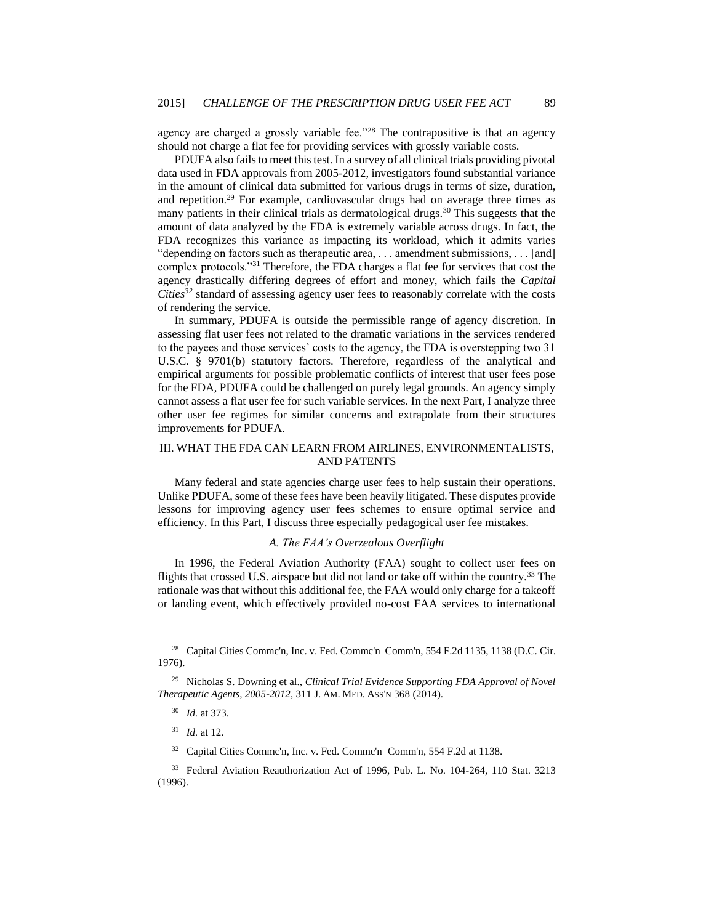agency are charged a grossly variable fee."<sup>28</sup> The contrapositive is that an agency should not charge a flat fee for providing services with grossly variable costs.

<span id="page-5-0"></span>PDUFA also fails to meet this test. In a survey of all clinical trials providing pivotal data used in FDA approvals from 2005-2012, investigators found substantial variance in the amount of clinical data submitted for various drugs in terms of size, duration, and repetition.<sup>29</sup> For example, cardiovascular drugs had on average three times as many patients in their clinical trials as dermatological drugs.<sup>30</sup> This suggests that the amount of data analyzed by the FDA is extremely variable across drugs. In fact, the FDA recognizes this variance as impacting its workload, which it admits varies "depending on factors such as therapeutic area, . . . amendment submissions, . . . [and] complex protocols."<sup>31</sup> Therefore, the FDA charges a flat fee for services that cost the agency drastically differing degrees of effort and money, which fails the *Capital Cities<sup>32</sup>* standard of assessing agency user fees to reasonably correlate with the costs of rendering the service.

In summary, PDUFA is outside the permissible range of agency discretion. In assessing flat user fees not related to the dramatic variations in the services rendered to the payees and those services' costs to the agency, the FDA is overstepping two 31 U.S.C. § 9701(b) statutory factors. Therefore, regardless of the analytical and empirical arguments for possible problematic conflicts of interest that user fees pose for the FDA, PDUFA could be challenged on purely legal grounds. An agency simply cannot assess a flat user fee for such variable services. In the next Part, I analyze three other user fee regimes for similar concerns and extrapolate from their structures improvements for PDUFA.

#### III. WHAT THE FDA CAN LEARN FROM AIRLINES, ENVIRONMENTALISTS, AND PATENTS

Many federal and state agencies charge user fees to help sustain their operations. Unlike PDUFA, some of these fees have been heavily litigated. These disputes provide lessons for improving agency user fees schemes to ensure optimal service and efficiency. In this Part, I discuss three especially pedagogical user fee mistakes.

#### *A. The FAA's Overzealous Overflight*

In 1996, the Federal Aviation Authority (FAA) sought to collect user fees on flights that crossed U.S. airspace but did not land or take off within the country.<sup>33</sup> The rationale was that without this additional fee, the FAA would only charge for a takeoff or landing event, which effectively provided no-cost FAA services to international

<sup>&</sup>lt;sup>28</sup> Capital Cities Commc'n, Inc. v. Fed. Commc'n Comm'n, 554 F.2d 1135, 1138 (D.C. Cir. 1976).

<sup>29</sup> Nicholas S. Downing et al., *Clinical Trial Evidence Supporting FDA Approval of Novel Therapeutic Agents, 2005-2012*, 311 J. AM. MED. ASS'N 368 (2014).

<sup>30</sup> *Id.* at 373.

<sup>31</sup> *Id.* at 12.

<sup>32</sup> Capital Cities Commc'n, Inc. v. Fed. Commc'n Comm'n, 554 F.2d at 1138.

<sup>33</sup> Federal Aviation Reauthorization Act of 1996, Pub. L. No. 104-264, 110 Stat. 3213 (1996).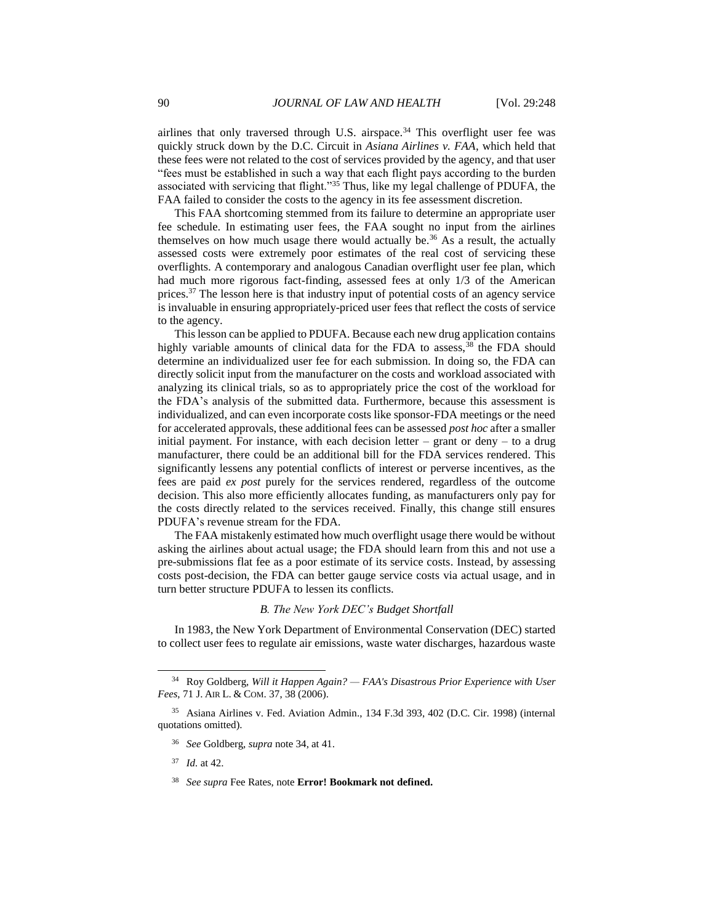<span id="page-6-0"></span>airlines that only traversed through U.S. airspace.<sup>34</sup> This overflight user fee was quickly struck down by the D.C. Circuit in *Asiana Airlines v. FAA*, which held that these fees were not related to the cost of services provided by the agency, and that user "fees must be established in such a way that each flight pays according to the burden associated with servicing that flight."<sup>35</sup> Thus, like my legal challenge of PDUFA, the FAA failed to consider the costs to the agency in its fee assessment discretion.

This FAA shortcoming stemmed from its failure to determine an appropriate user fee schedule. In estimating user fees, the FAA sought no input from the airlines themselves on how much usage there would actually be.<sup>36</sup> As a result, the actually assessed costs were extremely poor estimates of the real cost of servicing these overflights. A contemporary and analogous Canadian overflight user fee plan, which had much more rigorous fact-finding, assessed fees at only 1/3 of the American prices.<sup>37</sup> The lesson here is that industry input of potential costs of an agency service is invaluable in ensuring appropriately-priced user fees that reflect the costs of service to the agency.

This lesson can be applied to PDUFA. Because each new drug application contains highly variable amounts of clinical data for the FDA to assess,<sup>38</sup> the FDA should determine an individualized user fee for each submission. In doing so, the FDA can directly solicit input from the manufacturer on the costs and workload associated with analyzing its clinical trials, so as to appropriately price the cost of the workload for the FDA's analysis of the submitted data. Furthermore, because this assessment is individualized, and can even incorporate costs like sponsor-FDA meetings or the need for accelerated approvals, these additional fees can be assessed *post hoc* after a smaller initial payment. For instance, with each decision letter  $-$  grant or deny  $-$  to a drug manufacturer, there could be an additional bill for the FDA services rendered. This significantly lessens any potential conflicts of interest or perverse incentives, as the fees are paid *ex post* purely for the services rendered, regardless of the outcome decision. This also more efficiently allocates funding, as manufacturers only pay for the costs directly related to the services received. Finally, this change still ensures PDUFA's revenue stream for the FDA.

The FAA mistakenly estimated how much overflight usage there would be without asking the airlines about actual usage; the FDA should learn from this and not use a pre-submissions flat fee as a poor estimate of its service costs. Instead, by assessing costs post-decision, the FDA can better gauge service costs via actual usage, and in turn better structure PDUFA to lessen its conflicts.

#### *B. The New York DEC's Budget Shortfall*

In 1983, the New York Department of Environmental Conservation (DEC) started to collect user fees to regulate air emissions, waste water discharges, hazardous waste

<sup>34</sup> Roy Goldberg, *Will it Happen Again? — FAA's Disastrous Prior Experience with User Fees*, 71 J. AIR L. & COM. 37, 38 (2006).

<sup>35</sup> Asiana Airlines v. Fed. Aviation Admin., 134 F.3d 393, 402 (D.C. Cir. 1998) (internal quotations omitted).

<sup>36</sup> *See* Goldberg, *supra* not[e 34,](#page-6-0) at 41.

<sup>37</sup> *Id.* at 42.

<sup>38</sup> *See supra* Fee Rates, note **Error! Bookmark not defined.**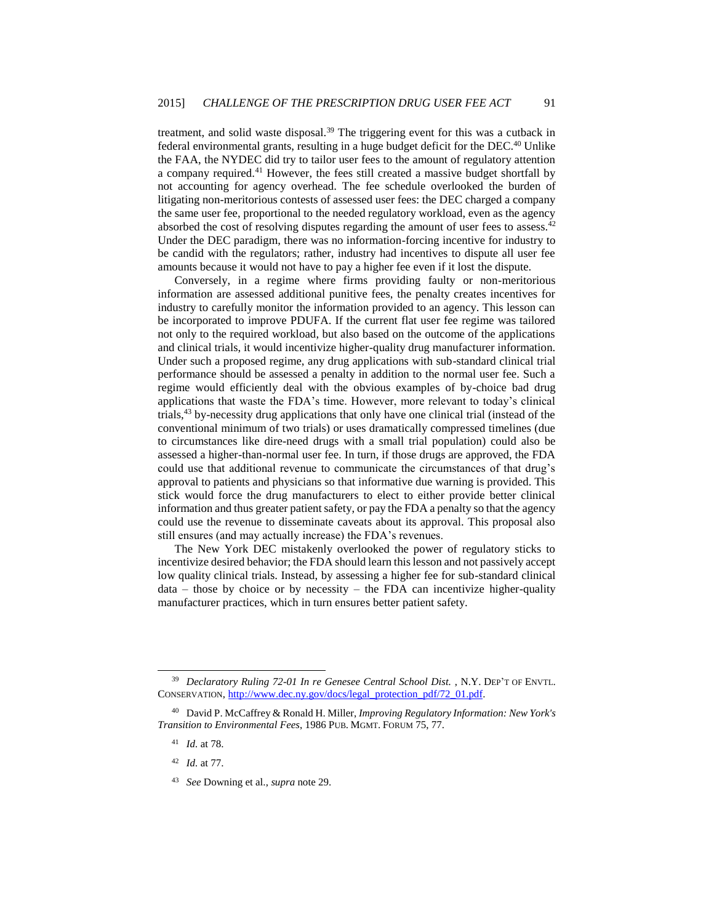treatment, and solid waste disposal.<sup>39</sup> The triggering event for this was a cutback in federal environmental grants, resulting in a huge budget deficit for the DEC.<sup>40</sup> Unlike the FAA, the NYDEC did try to tailor user fees to the amount of regulatory attention a company required.<sup>41</sup> However, the fees still created a massive budget shortfall by not accounting for agency overhead. The fee schedule overlooked the burden of litigating non-meritorious contests of assessed user fees: the DEC charged a company the same user fee, proportional to the needed regulatory workload, even as the agency absorbed the cost of resolving disputes regarding the amount of user fees to assess.<sup>42</sup> Under the DEC paradigm, there was no information-forcing incentive for industry to be candid with the regulators; rather, industry had incentives to dispute all user fee amounts because it would not have to pay a higher fee even if it lost the dispute.

Conversely, in a regime where firms providing faulty or non-meritorious information are assessed additional punitive fees, the penalty creates incentives for industry to carefully monitor the information provided to an agency. This lesson can be incorporated to improve PDUFA. If the current flat user fee regime was tailored not only to the required workload, but also based on the outcome of the applications and clinical trials, it would incentivize higher-quality drug manufacturer information. Under such a proposed regime, any drug applications with sub-standard clinical trial performance should be assessed a penalty in addition to the normal user fee. Such a regime would efficiently deal with the obvious examples of by-choice bad drug applications that waste the FDA's time. However, more relevant to today's clinical trials,<sup>43</sup> by-necessity drug applications that only have one clinical trial (instead of the conventional minimum of two trials) or uses dramatically compressed timelines (due to circumstances like dire-need drugs with a small trial population) could also be assessed a higher-than-normal user fee. In turn, if those drugs are approved, the FDA could use that additional revenue to communicate the circumstances of that drug's approval to patients and physicians so that informative due warning is provided. This stick would force the drug manufacturers to elect to either provide better clinical information and thus greater patient safety, or pay the FDA a penalty so that the agency could use the revenue to disseminate caveats about its approval. This proposal also still ensures (and may actually increase) the FDA's revenues.

The New York DEC mistakenly overlooked the power of regulatory sticks to incentivize desired behavior; the FDA should learn this lesson and not passively accept low quality clinical trials. Instead, by assessing a higher fee for sub-standard clinical  $data - those by choice or by necessity - the FDA can incentive higher-quality$ manufacturer practices, which in turn ensures better patient safety.

<sup>39</sup> *Declaratory Ruling 72-01 In re Genesee Central School Dist.* , N.Y. DEP'T OF ENVTL. CONSERVATION[, http://www.dec.ny.gov/docs/legal\\_protection\\_pdf/72\\_01.pdf.](http://www.dec.ny.gov/docs/legal_protection_pdf/72_01.pdf)

<sup>40</sup> David P. McCaffrey & Ronald H. Miller, *Improving Regulatory Information: New York's Transition to Environmental Fees*, 1986 PUB. MGMT. FORUM 75, 77.

<sup>41</sup> *Id.* at 78.

<sup>42</sup> *Id.* at 77.

<sup>43</sup> *See* Downing et al., *supra* note [29.](#page-5-0)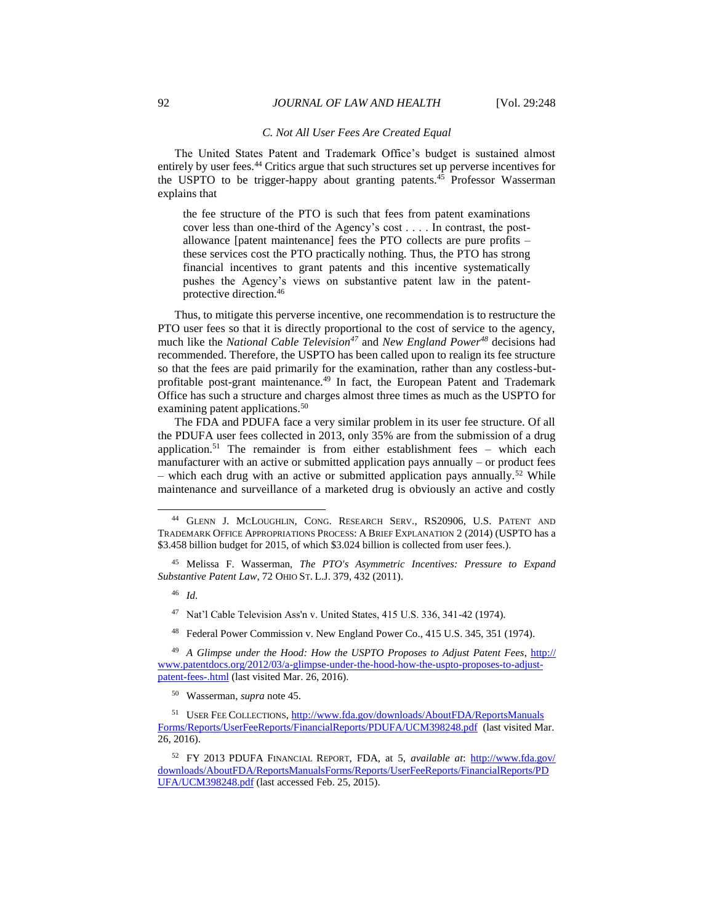#### *C. Not All User Fees Are Created Equal*

The United States Patent and Trademark Office's budget is sustained almost entirely by user fees.<sup>44</sup> Critics argue that such structures set up perverse incentives for the USPTO to be trigger-happy about granting patents.<sup>45</sup> Professor Wasserman explains that

the fee structure of the PTO is such that fees from patent examinations cover less than one-third of the Agency's cost . . . . In contrast, the postallowance [patent maintenance] fees the PTO collects are pure profits – these services cost the PTO practically nothing. Thus, the PTO has strong financial incentives to grant patents and this incentive systematically pushes the Agency's views on substantive patent law in the patentprotective direction.<sup>46</sup>

Thus, to mitigate this perverse incentive, one recommendation is to restructure the PTO user fees so that it is directly proportional to the cost of service to the agency, much like the *National Cable Television<sup>47</sup>* and *New England Power<sup>48</sup>* decisions had recommended. Therefore, the USPTO has been called upon to realign its fee structure so that the fees are paid primarily for the examination, rather than any costless-butprofitable post-grant maintenance.<sup>49</sup> In fact, the European Patent and Trademark Office has such a structure and charges almost three times as much as the USPTO for examining patent applications.<sup>50</sup>

The FDA and PDUFA face a very similar problem in its user fee structure. Of all the PDUFA user fees collected in 2013, only 35% are from the submission of a drug application.<sup>51</sup> The remainder is from either establishment fees – which each manufacturer with an active or submitted application pays annually – or product fees – which each drug with an active or submitted application pays annually.<sup>52</sup> While maintenance and surveillance of a marketed drug is obviously an active and costly

l

<sup>48</sup> Federal Power Commission v. New England Power Co., 415 U.S. 345, 351 (1974).

<sup>44</sup> GLENN J. MCLOUGHLIN, CONG. RESEARCH SERV., RS20906, U.S. PATENT AND TRADEMARK OFFICE APPROPRIATIONS PROCESS: A BRIEF EXPLANATION 2 (2014) (USPTO has a \$3.458 billion budget for 2015, of which \$3.024 billion is collected from user fees.).

<sup>45</sup> Melissa F. Wasserman, *The PTO's Asymmetric Incentives: Pressure to Expand Substantive Patent Law*, 72 OHIO ST. L.J. 379, 432 (2011).

<sup>46</sup> *Id.* 

<sup>47</sup> Nat'l Cable Television Ass'n v. United States, 415 U.S. 336, 341-42 (1974).

<sup>49</sup> *A Glimpse under the Hood: How the USPTO Proposes to Adjust Patent Fees*, [http://](http://www.patentdocs.org/2012/03/a-glimpse-under-the-hood-how-the-uspto-proposes-to-adjust-patent-fees-.html) [www.patentdocs.org/2012/03/a-glimpse-under-the-hood-how-the-uspto-proposes-to-adjust](http://www.patentdocs.org/2012/03/a-glimpse-under-the-hood-how-the-uspto-proposes-to-adjust-patent-fees-.html)[patent-fees-.html](http://www.patentdocs.org/2012/03/a-glimpse-under-the-hood-how-the-uspto-proposes-to-adjust-patent-fees-.html) (last visited Mar. 26, 2016).

<sup>50</sup> Wasserman, *supra* note 45.

<sup>51</sup> USER FEE COLLECTIONS, [http://www.fda.gov/downloads/AboutFDA/ReportsManuals](http://www.fda.gov/downloads/‌AboutFDA/‌ReportsManuals‌Forms/Reports/UserFeeReports/FinancialReports/PDUFA/UCM398248.pdf) [Forms/Reports/UserFeeReports/FinancialReports/PDUFA/UCM398248.pdf](http://www.fda.gov/downloads/‌AboutFDA/‌ReportsManuals‌Forms/Reports/UserFeeReports/FinancialReports/PDUFA/UCM398248.pdf) (last visited Mar. 26, 2016).

<sup>52</sup> FY 2013 PDUFA FINANCIAL REPORT, FDA, at 5, *available at*: [http://www.fda.gov/](http://www.fda.gov/‌downloads/AboutFDA/ReportsManualsForms/Reports/UserFeeReports/FinancialReports/PDUFA/UCM398248.pdf) [downloads/AboutFDA/ReportsManualsForms/Reports/UserFeeReports/FinancialReports/PD](http://www.fda.gov/‌downloads/AboutFDA/ReportsManualsForms/Reports/UserFeeReports/FinancialReports/PDUFA/UCM398248.pdf) [UFA/UCM398248.pdf](http://www.fda.gov/‌downloads/AboutFDA/ReportsManualsForms/Reports/UserFeeReports/FinancialReports/PDUFA/UCM398248.pdf) (last accessed Feb. 25, 2015).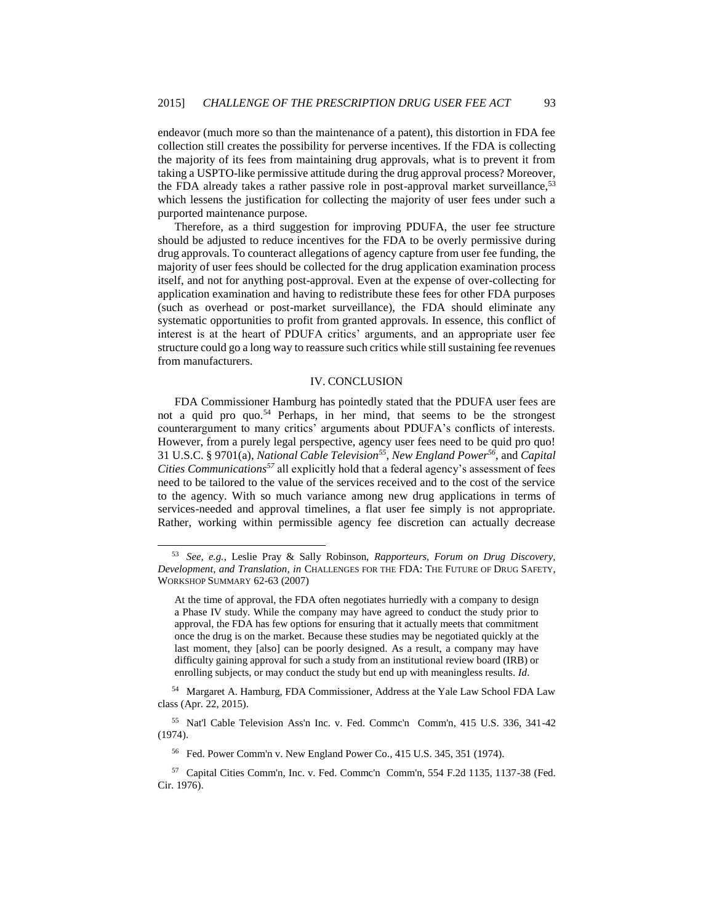endeavor (much more so than the maintenance of a patent), this distortion in FDA fee collection still creates the possibility for perverse incentives. If the FDA is collecting the majority of its fees from maintaining drug approvals, what is to prevent it from taking a USPTO-like permissive attitude during the drug approval process? Moreover, the FDA already takes a rather passive role in post-approval market surveillance,<sup>53</sup> which lessens the justification for collecting the majority of user fees under such a purported maintenance purpose.

Therefore, as a third suggestion for improving PDUFA, the user fee structure should be adjusted to reduce incentives for the FDA to be overly permissive during drug approvals. To counteract allegations of agency capture from user fee funding, the majority of user fees should be collected for the drug application examination process itself, and not for anything post-approval. Even at the expense of over-collecting for application examination and having to redistribute these fees for other FDA purposes (such as overhead or post-market surveillance), the FDA should eliminate any systematic opportunities to profit from granted approvals. In essence, this conflict of interest is at the heart of PDUFA critics' arguments, and an appropriate user fee structure could go a long way to reassure such critics while still sustaining fee revenues from manufacturers.

#### IV. CONCLUSION

FDA Commissioner Hamburg has pointedly stated that the PDUFA user fees are not a quid pro quo.<sup>54</sup> Perhaps, in her mind, that seems to be the strongest counterargument to many critics' arguments about PDUFA's conflicts of interests. However, from a purely legal perspective, agency user fees need to be quid pro quo! 31 U.S.C. § 9701(a), *National Cable Television<sup>55</sup>* , *New England Power<sup>56</sup>*, and *Capital Cities Communications<sup>57</sup>* all explicitly hold that a federal agency's assessment of fees need to be tailored to the value of the services received and to the cost of the service to the agency. With so much variance among new drug applications in terms of services-needed and approval timelines, a flat user fee simply is not appropriate. Rather, working within permissible agency fee discretion can actually decrease

<sup>53</sup> *See, e.g.*, Leslie Pray & Sally Robinson, *Rapporteurs, Forum on Drug Discovery, Development, and Translation*, *in* CHALLENGES FOR THE FDA: THE FUTURE OF DRUG SAFETY, WORKSHOP SUMMARY 62-63 (2007)

At the time of approval, the FDA often negotiates hurriedly with a company to design a Phase IV study. While the company may have agreed to conduct the study prior to approval, the FDA has few options for ensuring that it actually meets that commitment once the drug is on the market. Because these studies may be negotiated quickly at the last moment, they [also] can be poorly designed. As a result, a company may have difficulty gaining approval for such a study from an institutional review board (IRB) or enrolling subjects, or may conduct the study but end up with meaningless results. *Id*.

<sup>54</sup> Margaret A. Hamburg, FDA Commissioner, Address at the Yale Law School FDA Law class (Apr. 22, 2015).

<sup>55</sup> Nat'l Cable Television Ass'n Inc. v. Fed. Commc'n Comm'n, 415 U.S. 336, 341-42 (1974).

<sup>56</sup> Fed. Power Comm'n v. New England Power Co., 415 U.S. 345, 351 (1974).

<sup>57</sup> Capital Cities Comm'n, Inc. v. Fed. Commc'n Comm'n, 554 F.2d 1135, 1137-38 (Fed. Cir. 1976).